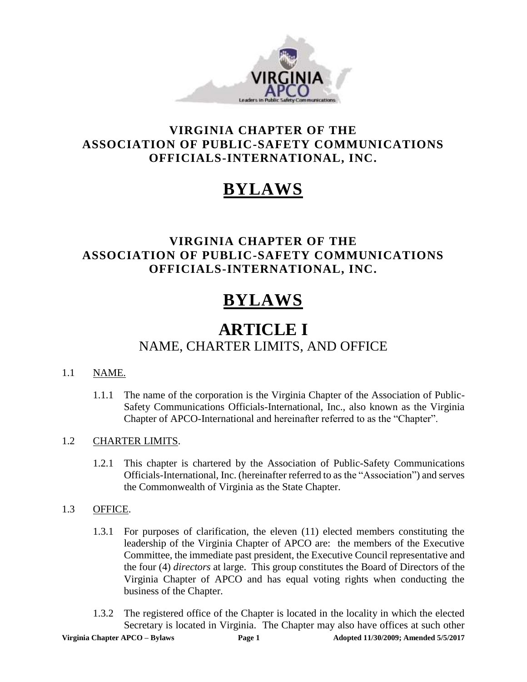

### **VIRGINIA CHAPTER OF THE ASSOCIATION OF PUBLIC-SAFETY COMMUNICATIONS OFFICIALS-INTERNATIONAL, INC.**

# **BYLAWS**

### **VIRGINIA CHAPTER OF THE ASSOCIATION OF PUBLIC-SAFETY COMMUNICATIONS OFFICIALS-INTERNATIONAL, INC.**

# **BYLAWS**

## **ARTICLE I** NAME, CHARTER LIMITS, AND OFFICE

### 1.1 NAME.

1.1.1 The name of the corporation is the Virginia Chapter of the Association of Public-Safety Communications Officials-International, Inc., also known as the Virginia Chapter of APCO-International and hereinafter referred to as the "Chapter".

### 1.2 CHARTER LIMITS.

1.2.1 This chapter is chartered by the Association of Public-Safety Communications Officials-International, Inc. (hereinafter referred to as the "Association") and serves the Commonwealth of Virginia as the State Chapter.

### 1.3 OFFICE.

- 1.3.1 For purposes of clarification, the eleven (11) elected members constituting the leadership of the Virginia Chapter of APCO are: the members of the Executive Committee, the immediate past president, the Executive Council representative and the four (4) *directors* at large. This group constitutes the Board of Directors of the Virginia Chapter of APCO and has equal voting rights when conducting the business of the Chapter.
- 1.3.2 The registered office of the Chapter is located in the locality in which the elected Secretary is located in Virginia. The Chapter may also have offices at such other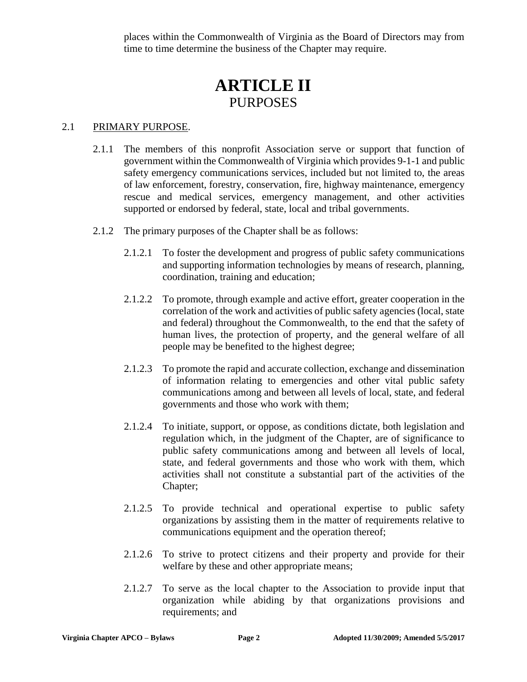places within the Commonwealth of Virginia as the Board of Directors may from time to time determine the business of the Chapter may require.

## **ARTICLE II PURPOSES**

### 2.1 PRIMARY PURPOSE.

- 2.1.1 The members of this nonprofit Association serve or support that function of government within the Commonwealth of Virginia which provides 9-1-1 and public safety emergency communications services, included but not limited to, the areas of law enforcement, forestry, conservation, fire, highway maintenance, emergency rescue and medical services, emergency management, and other activities supported or endorsed by federal, state, local and tribal governments.
- 2.1.2 The primary purposes of the Chapter shall be as follows:
	- 2.1.2.1 To foster the development and progress of public safety communications and supporting information technologies by means of research, planning, coordination, training and education;
	- 2.1.2.2 To promote, through example and active effort, greater cooperation in the correlation of the work and activities of public safety agencies (local, state and federal) throughout the Commonwealth, to the end that the safety of human lives, the protection of property, and the general welfare of all people may be benefited to the highest degree;
	- 2.1.2.3 To promote the rapid and accurate collection, exchange and dissemination of information relating to emergencies and other vital public safety communications among and between all levels of local, state, and federal governments and those who work with them;
	- 2.1.2.4 To initiate, support, or oppose, as conditions dictate, both legislation and regulation which, in the judgment of the Chapter, are of significance to public safety communications among and between all levels of local, state, and federal governments and those who work with them, which activities shall not constitute a substantial part of the activities of the Chapter;
	- 2.1.2.5 To provide technical and operational expertise to public safety organizations by assisting them in the matter of requirements relative to communications equipment and the operation thereof;
	- 2.1.2.6 To strive to protect citizens and their property and provide for their welfare by these and other appropriate means;
	- 2.1.2.7 To serve as the local chapter to the Association to provide input that organization while abiding by that organizations provisions and requirements; and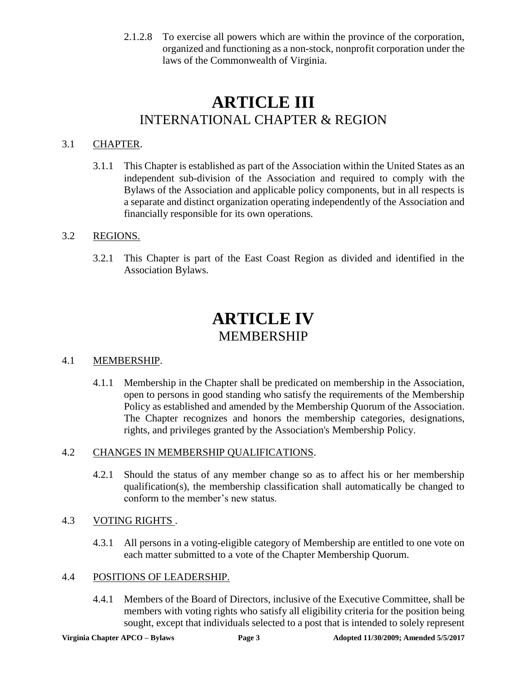2.1.2.8 To exercise all powers which are within the province of the corporation, organized and functioning as a non-stock, nonprofit corporation under the laws of the Commonwealth of Virginia.

## **ARTICLE III** INTERNATIONAL CHAPTER & REGION

### 3.1 CHAPTER.

3.1.1 This Chapter is established as part of the Association within the United States as an independent sub-division of the Association and required to comply with the Bylaws of the Association and applicable policy components, but in all respects is a separate and distinct organization operating independently of the Association and financially responsible for its own operations.

### 3.2 REGIONS.

3.2.1 This Chapter is part of the East Coast Region as divided and identified in the Association Bylaws.

## **ARTICLE IV** MEMBERSHIP

### 4.1 MEMBERSHIP.

4.1.1 Membership in the Chapter shall be predicated on membership in the Association, open to persons in good standing who satisfy the requirements of the Membership Policy as established and amended by the Membership Quorum of the Association. The Chapter recognizes and honors the membership categories, designations, rights, and privileges granted by the Association's Membership Policy.

### 4.2 CHANGES IN MEMBERSHIP QUALIFICATIONS.

4.2.1 Should the status of any member change so as to affect his or her membership qualification(s), the membership classification shall automatically be changed to conform to the member's new status.

### 4.3 VOTING RIGHTS .

4.3.1 All persons in a voting-eligible category of Membership are entitled to one vote on each matter submitted to a vote of the Chapter Membership Quorum.

### 4.4 POSITIONS OF LEADERSHIP.

4.4.1 Members of the Board of Directors, inclusive of the Executive Committee, shall be members with voting rights who satisfy all eligibility criteria for the position being sought, except that individuals selected to a post that is intended to solely represent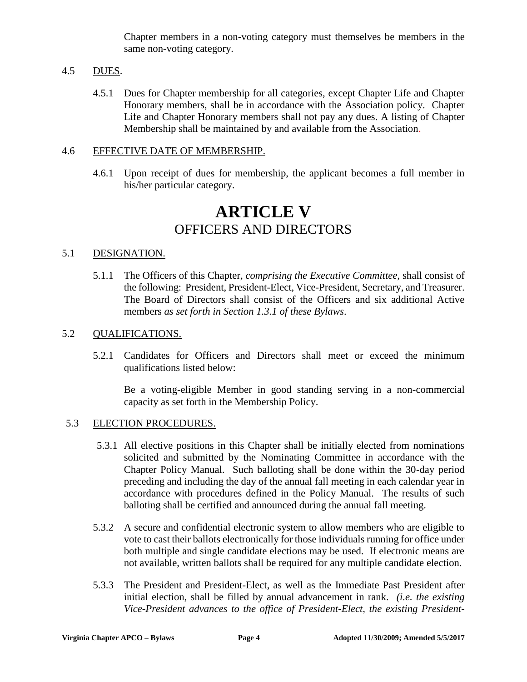Chapter members in a non-voting category must themselves be members in the same non-voting category.

### 4.5 DUES.

4.5.1 Dues for Chapter membership for all categories, except Chapter Life and Chapter Honorary members, shall be in accordance with the Association policy. Chapter Life and Chapter Honorary members shall not pay any dues. A listing of Chapter Membership shall be maintained by and available from the Association.

### 4.6 EFFECTIVE DATE OF MEMBERSHIP.

4.6.1 Upon receipt of dues for membership, the applicant becomes a full member in his/her particular category.

### **ARTICLE V** OFFICERS AND DIRECTORS

#### 5.1 DESIGNATION.

5.1.1 The Officers of this Chapter*, comprising the Executive Committee,* shall consist of the following: President, President-Elect, Vice-President, Secretary, and Treasurer. The Board of Directors shall consist of the Officers and six additional Active members *as set forth in Section 1.3.1 of these Bylaws*.

#### 5.2 QUALIFICATIONS.

5.2.1 Candidates for Officers and Directors shall meet or exceed the minimum qualifications listed below:

Be a voting-eligible Member in good standing serving in a non-commercial capacity as set forth in the Membership Policy.

#### 5.3 ELECTION PROCEDURES.

- 5.3.1 All elective positions in this Chapter shall be initially elected from nominations solicited and submitted by the Nominating Committee in accordance with the Chapter Policy Manual. Such balloting shall be done within the 30-day period preceding and including the day of the annual fall meeting in each calendar year in accordance with procedures defined in the Policy Manual. The results of such balloting shall be certified and announced during the annual fall meeting.
- 5.3.2 A secure and confidential electronic system to allow members who are eligible to vote to cast their ballots electronically for those individuals running for office under both multiple and single candidate elections may be used. If electronic means are not available, written ballots shall be required for any multiple candidate election.
- 5.3.3 The President and President-Elect, as well as the Immediate Past President after initial election, shall be filled by annual advancement in rank. *(i.e. the existing Vice-President advances to the office of President-Elect, the existing President-*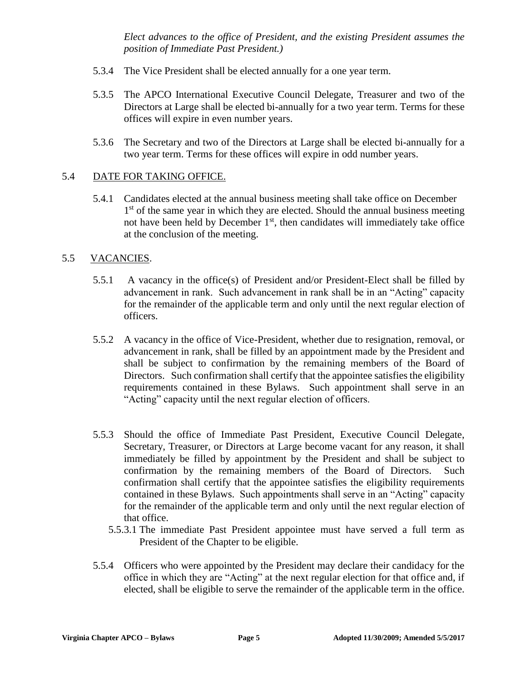*Elect advances to the office of President, and the existing President assumes the position of Immediate Past President.)*

- 5.3.4 The Vice President shall be elected annually for a one year term.
- 5.3.5 The APCO International Executive Council Delegate, Treasurer and two of the Directors at Large shall be elected bi-annually for a two year term. Terms for these offices will expire in even number years.
- 5.3.6 The Secretary and two of the Directors at Large shall be elected bi-annually for a two year term. Terms for these offices will expire in odd number years.

### 5.4 DATE FOR TAKING OFFICE.

 5.4.1 Candidates elected at the annual business meeting shall take office on December 1<sup>st</sup> of the same year in which they are elected. Should the annual business meeting not have been held by December 1<sup>st</sup>, then candidates will immediately take office at the conclusion of the meeting.

### 5.5 VACANCIES.

- 5.5.1 A vacancy in the office(s) of President and/or President-Elect shall be filled by advancement in rank. Such advancement in rank shall be in an "Acting" capacity for the remainder of the applicable term and only until the next regular election of officers.
- 5.5.2 A vacancy in the office of Vice-President, whether due to resignation, removal, or advancement in rank, shall be filled by an appointment made by the President and shall be subject to confirmation by the remaining members of the Board of Directors. Such confirmation shall certify that the appointee satisfies the eligibility requirements contained in these Bylaws. Such appointment shall serve in an "Acting" capacity until the next regular election of officers.
- 5.5.3 Should the office of Immediate Past President, Executive Council Delegate, Secretary, Treasurer, or Directors at Large become vacant for any reason, it shall immediately be filled by appointment by the President and shall be subject to confirmation by the remaining members of the Board of Directors. Such confirmation shall certify that the appointee satisfies the eligibility requirements contained in these Bylaws. Such appointments shall serve in an "Acting" capacity for the remainder of the applicable term and only until the next regular election of that office.
	- 5.5.3.1 The immediate Past President appointee must have served a full term as President of the Chapter to be eligible.
- 5.5.4 Officers who were appointed by the President may declare their candidacy for the office in which they are "Acting" at the next regular election for that office and, if elected, shall be eligible to serve the remainder of the applicable term in the office.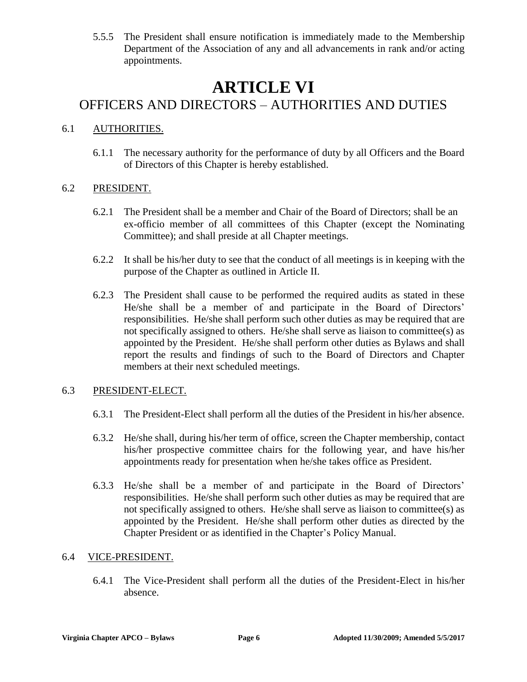5.5.5 The President shall ensure notification is immediately made to the Membership Department of the Association of any and all advancements in rank and/or acting appointments.

## **ARTICLE VI**

### OFFICERS AND DIRECTORS – AUTHORITIES AND DUTIES

### 6.1 AUTHORITIES.

6.1.1 The necessary authority for the performance of duty by all Officers and the Board of Directors of this Chapter is hereby established.

### 6.2 PRESIDENT.

- 6.2.1 The President shall be a member and Chair of the Board of Directors; shall be an ex-officio member of all committees of this Chapter (except the Nominating Committee); and shall preside at all Chapter meetings.
- 6.2.2 It shall be his/her duty to see that the conduct of all meetings is in keeping with the purpose of the Chapter as outlined in Article II.
- 6.2.3 The President shall cause to be performed the required audits as stated in these He/she shall be a member of and participate in the Board of Directors' responsibilities. He/she shall perform such other duties as may be required that are not specifically assigned to others. He/she shall serve as liaison to committee(s) as appointed by the President. He/she shall perform other duties as Bylaws and shall report the results and findings of such to the Board of Directors and Chapter members at their next scheduled meetings.

### 6.3 PRESIDENT-ELECT.

- 6.3.1 The President-Elect shall perform all the duties of the President in his/her absence.
- 6.3.2 He/she shall, during his/her term of office, screen the Chapter membership, contact his/her prospective committee chairs for the following year, and have his/her appointments ready for presentation when he/she takes office as President.
- 6.3.3 He/she shall be a member of and participate in the Board of Directors' responsibilities. He/she shall perform such other duties as may be required that are not specifically assigned to others. He/she shall serve as liaison to committee(s) as appointed by the President. He/she shall perform other duties as directed by the Chapter President or as identified in the Chapter's Policy Manual.

### 6.4 VICE-PRESIDENT.

6.4.1 The Vice-President shall perform all the duties of the President-Elect in his/her absence.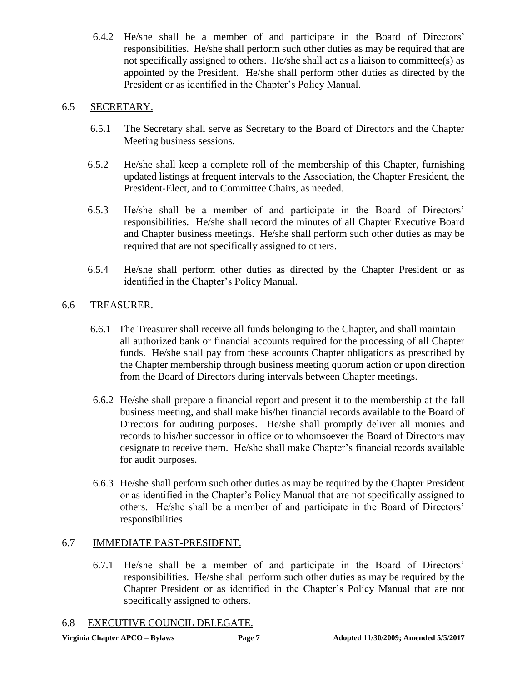6.4.2 He/she shall be a member of and participate in the Board of Directors' responsibilities. He/she shall perform such other duties as may be required that are not specifically assigned to others. He/she shall act as a liaison to committee(s) as appointed by the President. He/she shall perform other duties as directed by the President or as identified in the Chapter's Policy Manual.

### 6.5 SECRETARY.

- 6.5.1 The Secretary shall serve as Secretary to the Board of Directors and the Chapter Meeting business sessions.
- 6.5.2 He/she shall keep a complete roll of the membership of this Chapter, furnishing updated listings at frequent intervals to the Association, the Chapter President, the President-Elect, and to Committee Chairs, as needed.
- 6.5.3 He/she shall be a member of and participate in the Board of Directors' responsibilities. He/she shall record the minutes of all Chapter Executive Board and Chapter business meetings. He/she shall perform such other duties as may be required that are not specifically assigned to others.
- 6.5.4 He/she shall perform other duties as directed by the Chapter President or as identified in the Chapter's Policy Manual.

### 6.6 TREASURER.

- 6.6.1 The Treasurer shall receive all funds belonging to the Chapter, and shall maintain all authorized bank or financial accounts required for the processing of all Chapter funds. He/she shall pay from these accounts Chapter obligations as prescribed by the Chapter membership through business meeting quorum action or upon direction from the Board of Directors during intervals between Chapter meetings.
- 6.6.2 He/she shall prepare a financial report and present it to the membership at the fall business meeting, and shall make his/her financial records available to the Board of Directors for auditing purposes. He/she shall promptly deliver all monies and records to his/her successor in office or to whomsoever the Board of Directors may designate to receive them. He/she shall make Chapter's financial records available for audit purposes.
- 6.6.3 He/she shall perform such other duties as may be required by the Chapter President or as identified in the Chapter's Policy Manual that are not specifically assigned to others. He/she shall be a member of and participate in the Board of Directors' responsibilities.

### 6.7 IMMEDIATE PAST-PRESIDENT.

6.7.1 He/she shall be a member of and participate in the Board of Directors' responsibilities. He/she shall perform such other duties as may be required by the Chapter President or as identified in the Chapter's Policy Manual that are not specifically assigned to others.

#### 6.8 EXECUTIVE COUNCIL DELEGATE.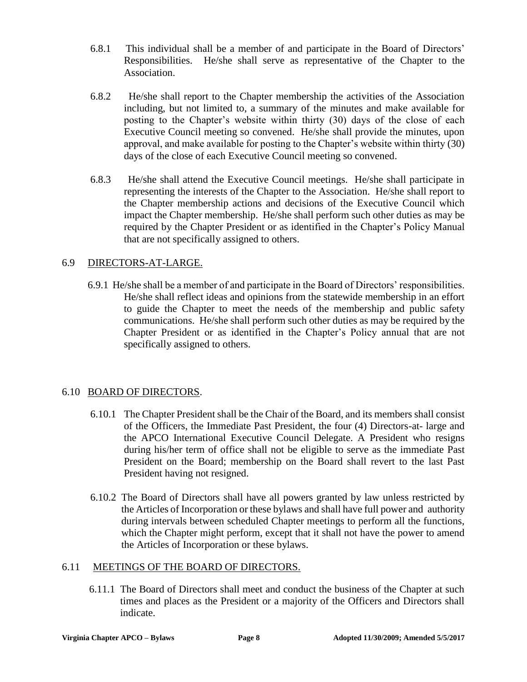- 6.8.1 This individual shall be a member of and participate in the Board of Directors' Responsibilities. He/she shall serve as representative of the Chapter to the Association.
- 6.8.2 He/she shall report to the Chapter membership the activities of the Association including, but not limited to, a summary of the minutes and make available for posting to the Chapter's website within thirty (30) days of the close of each Executive Council meeting so convened. He/she shall provide the minutes, upon approval, and make available for posting to the Chapter's website within thirty (30) days of the close of each Executive Council meeting so convened.
- 6.8.3 He/she shall attend the Executive Council meetings. He/she shall participate in representing the interests of the Chapter to the Association. He/she shall report to the Chapter membership actions and decisions of the Executive Council which impact the Chapter membership. He/she shall perform such other duties as may be required by the Chapter President or as identified in the Chapter's Policy Manual that are not specifically assigned to others.

### 6.9 DIRECTORS-AT-LARGE.

 6.9.1 He/she shall be a member of and participate in the Board of Directors' responsibilities. He/she shall reflect ideas and opinions from the statewide membership in an effort to guide the Chapter to meet the needs of the membership and public safety communications. He/she shall perform such other duties as may be required by the Chapter President or as identified in the Chapter's Policy annual that are not specifically assigned to others.

### 6.10 BOARD OF DIRECTORS.

- 6.10.1 The Chapter President shall be the Chair of the Board, and its members shall consist of the Officers, the Immediate Past President, the four (4) Directors-at- large and the APCO International Executive Council Delegate. A President who resigns during his/her term of office shall not be eligible to serve as the immediate Past President on the Board; membership on the Board shall revert to the last Past President having not resigned.
- 6.10.2 The Board of Directors shall have all powers granted by law unless restricted by the Articles of Incorporation or these bylaws and shall have full power and authority during intervals between scheduled Chapter meetings to perform all the functions, which the Chapter might perform, except that it shall not have the power to amend the Articles of Incorporation or these bylaws.

### 6.11 MEETINGS OF THE BOARD OF DIRECTORS.

6.11.1 The Board of Directors shall meet and conduct the business of the Chapter at such times and places as the President or a majority of the Officers and Directors shall indicate.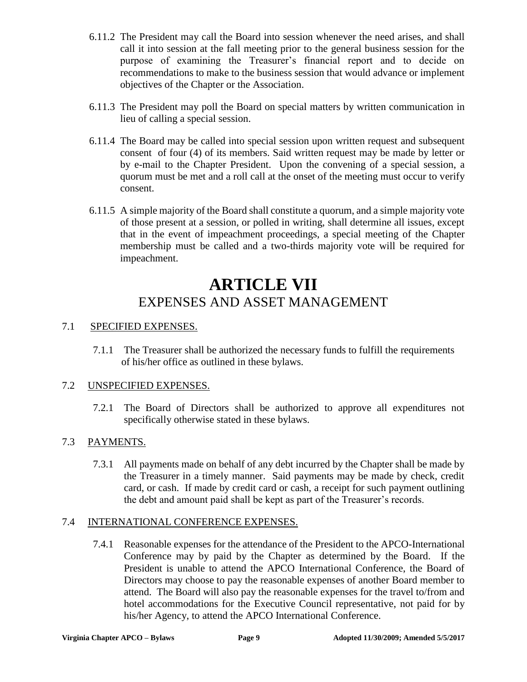- 6.11.2 The President may call the Board into session whenever the need arises, and shall call it into session at the fall meeting prior to the general business session for the purpose of examining the Treasurer's financial report and to decide on recommendations to make to the business session that would advance or implement objectives of the Chapter or the Association.
- 6.11.3 The President may poll the Board on special matters by written communication in lieu of calling a special session.
- 6.11.4 The Board may be called into special session upon written request and subsequent consent of four (4) of its members. Said written request may be made by letter or by e-mail to the Chapter President. Upon the convening of a special session, a quorum must be met and a roll call at the onset of the meeting must occur to verify consent.
- 6.11.5 A simple majority of the Board shall constitute a quorum, and a simple majority vote of those present at a session, or polled in writing, shall determine all issues, except that in the event of impeachment proceedings, a special meeting of the Chapter membership must be called and a two-thirds majority vote will be required for impeachment.

## **ARTICLE VII** EXPENSES AND ASSET MANAGEMENT

### 7.1 SPECIFIED EXPENSES.

7.1.1 The Treasurer shall be authorized the necessary funds to fulfill the requirements of his/her office as outlined in these bylaws.

### 7.2 UNSPECIFIED EXPENSES.

7.2.1 The Board of Directors shall be authorized to approve all expenditures not specifically otherwise stated in these bylaws.

### 7.3 PAYMENTS.

7.3.1 All payments made on behalf of any debt incurred by the Chapter shall be made by the Treasurer in a timely manner. Said payments may be made by check, credit card, or cash. If made by credit card or cash, a receipt for such payment outlining the debt and amount paid shall be kept as part of the Treasurer's records.

### 7.4 INTERNATIONAL CONFERENCE EXPENSES.

7.4.1 Reasonable expenses for the attendance of the President to the APCO-International Conference may by paid by the Chapter as determined by the Board. If the President is unable to attend the APCO International Conference, the Board of Directors may choose to pay the reasonable expenses of another Board member to attend. The Board will also pay the reasonable expenses for the travel to/from and hotel accommodations for the Executive Council representative, not paid for by his/her Agency, to attend the APCO International Conference.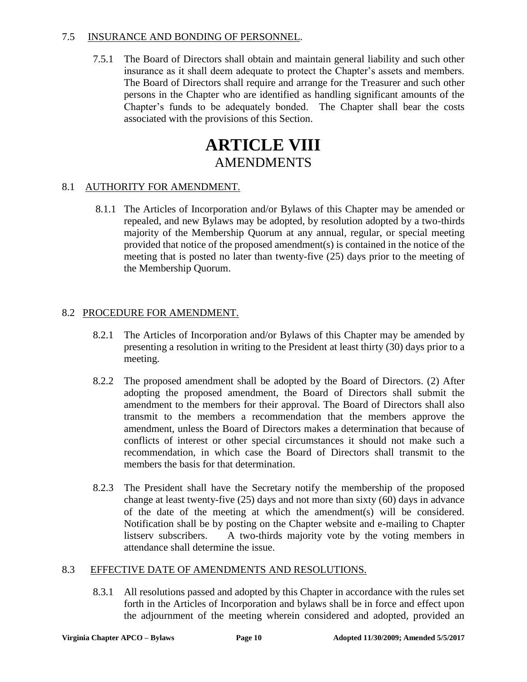### 7.5 INSURANCE AND BONDING OF PERSONNEL.

7.5.1 The Board of Directors shall obtain and maintain general liability and such other insurance as it shall deem adequate to protect the Chapter's assets and members. The Board of Directors shall require and arrange for the Treasurer and such other persons in the Chapter who are identified as handling significant amounts of the Chapter's funds to be adequately bonded. The Chapter shall bear the costs associated with the provisions of this Section.

## **ARTICLE VIII** AMENDMENTS

### 8.1 AUTHORITY FOR AMENDMENT.

8.1.1 The Articles of Incorporation and/or Bylaws of this Chapter may be amended or repealed, and new Bylaws may be adopted, by resolution adopted by a two-thirds majority of the Membership Quorum at any annual, regular, or special meeting provided that notice of the proposed amendment(s) is contained in the notice of the meeting that is posted no later than twenty-five (25) days prior to the meeting of the Membership Quorum.

### 8.2 PROCEDURE FOR AMENDMENT.

- 8.2.1 The Articles of Incorporation and/or Bylaws of this Chapter may be amended by presenting a resolution in writing to the President at least thirty (30) days prior to a meeting.
- 8.2.2 The proposed amendment shall be adopted by the Board of Directors. (2) After adopting the proposed amendment, the Board of Directors shall submit the amendment to the members for their approval. The Board of Directors shall also transmit to the members a recommendation that the members approve the amendment, unless the Board of Directors makes a determination that because of conflicts of interest or other special circumstances it should not make such a recommendation, in which case the Board of Directors shall transmit to the members the basis for that determination.
- 8.2.3 The President shall have the Secretary notify the membership of the proposed change at least twenty-five (25) days and not more than sixty (60) days in advance of the date of the meeting at which the amendment(s) will be considered. Notification shall be by posting on the Chapter website and e-mailing to Chapter listserv subscribers. A two-thirds majority vote by the voting members in attendance shall determine the issue.

### 8.3 EFFECTIVE DATE OF AMENDMENTS AND RESOLUTIONS.

8.3.1 All resolutions passed and adopted by this Chapter in accordance with the rules set forth in the Articles of Incorporation and bylaws shall be in force and effect upon the adjournment of the meeting wherein considered and adopted, provided an